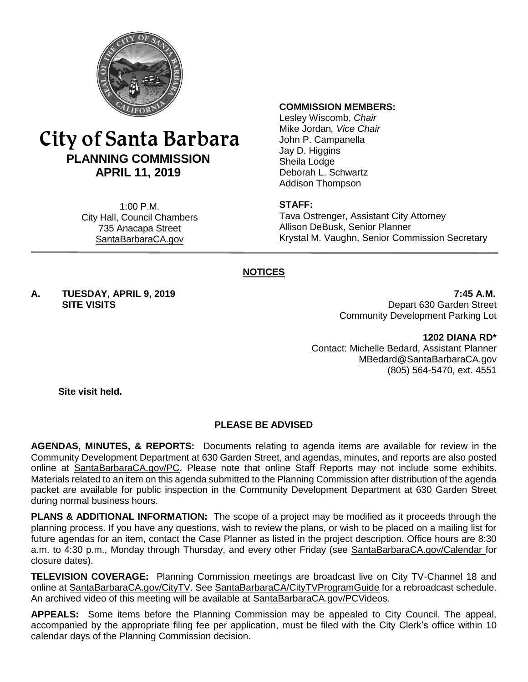

# City of Santa Barbara **PLANNING COMMISSION APRIL 11, 2019**

1:00 P.M. City Hall, Council Chambers 735 Anacapa Street SantaBarbaraCA.gov

#### **COMMISSION MEMBERS:**

Lesley Wiscomb, *Chair* Mike Jordan*, Vice Chair* John P. Campanella Jay D. Higgins Sheila Lodge Deborah L. Schwartz Addison Thompson

#### **STAFF:**

Tava Ostrenger, Assistant City Attorney Allison DeBusk, Senior Planner Krystal M. Vaughn, Senior Commission Secretary

# **NOTICES**

**A. TUESDAY, APRIL 9, 2019 7:45 A.M.**

**SITE VISITS** Depart 630 Garden Street Community Development Parking Lot

> **1202 DIANA RD\*** Contact: Michelle Bedard, Assistant Planner [MBedard@SantaBarbaraCA.gov](mailto:MBedard@SantaBarbaraCA.gov) (805) 564-5470, ext. 4551

**Site visit held.**

# **PLEASE BE ADVISED**

**AGENDAS, MINUTES, & REPORTS:** Documents relating to agenda items are available for review in the Community Development Department at 630 Garden Street, and agendas, minutes, and reports are also posted online at [SantaBarbaraCA.gov/PC.](http://www.santabarbaraca.gov/PC) Please note that online Staff Reports may not include some exhibits. Materials related to an item on this agenda submitted to the Planning Commission after distribution of the agenda packet are available for public inspection in the Community Development Department at 630 Garden Street during normal business hours.

**PLANS & ADDITIONAL INFORMATION:** The scope of a project may be modified as it proceeds through the planning process. If you have any questions, wish to review the plans, or wish to be placed on a mailing list for future agendas for an item, contact the Case Planner as listed in the project description. Office hours are 8:30 a.m. to 4:30 p.m., Monday through Thursday, and every other Friday (see [SantaBarbaraCA.gov/Calendar](http://www.santabarbaraca.gov/cals/default.asp) for closure dates).

**TELEVISION COVERAGE:** Planning Commission meetings are broadcast live on City TV-Channel 18 and online at [SantaBarbaraCA.gov/CityTV.](http://www.santabarbaraca.gov/CityTV) See [SantaBarbaraCA/CityTVProgramGuide](http://www.santabarbaraca.gov/gov/depts/cityadmin/programming.asp) for a rebroadcast schedule. An archived video of this meeting will be available at [SantaBarbaraCA.gov/PCVideos.](http://www.santabarbaraca.gov/PCVideos)

**APPEALS:** Some items before the Planning Commission may be appealed to City Council. The appeal, accompanied by the appropriate filing fee per application, must be filed with the City Clerk's office within 10 calendar days of the Planning Commission decision.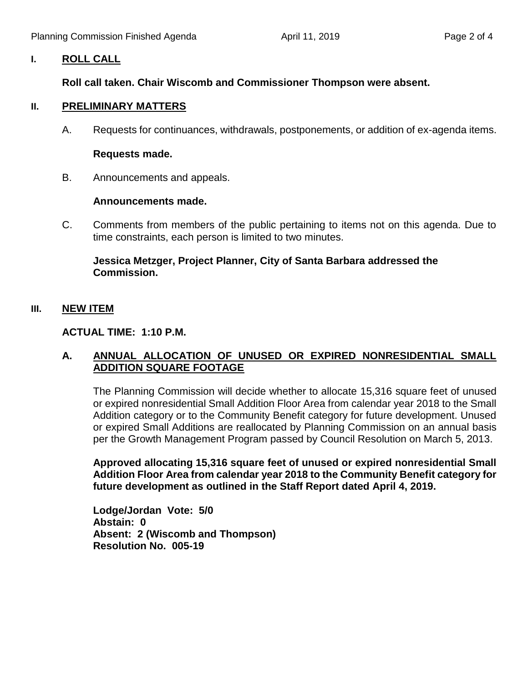# **I. ROLL CALL**

# **Roll call taken. Chair Wiscomb and Commissioner Thompson were absent.**

## **II. PRELIMINARY MATTERS**

A. Requests for continuances, withdrawals, postponements, or addition of ex-agenda items.

## **Requests made.**

B. Announcements and appeals.

#### **Announcements made.**

C. Comments from members of the public pertaining to items not on this agenda. Due to time constraints, each person is limited to two minutes.

# **Jessica Metzger, Project Planner, City of Santa Barbara addressed the Commission.**

# **III. NEW ITEM**

# **ACTUAL TIME: 1:10 P.M.**

# **A. ANNUAL ALLOCATION OF UNUSED OR EXPIRED NONRESIDENTIAL SMALL ADDITION SQUARE FOOTAGE**

The Planning Commission will decide whether to allocate 15,316 square feet of unused or expired nonresidential Small Addition Floor Area from calendar year 2018 to the Small Addition category or to the Community Benefit category for future development. Unused or expired Small Additions are reallocated by Planning Commission on an annual basis per the Growth Management Program passed by Council Resolution on March 5, 2013.

**Approved allocating 15,316 square feet of unused or expired nonresidential Small Addition Floor Area from calendar year 2018 to the Community Benefit category for future development as outlined in the Staff Report dated April 4, 2019.**

**Lodge/Jordan Vote: 5/0 Abstain: 0 Absent: 2 (Wiscomb and Thompson) Resolution No. 005-19**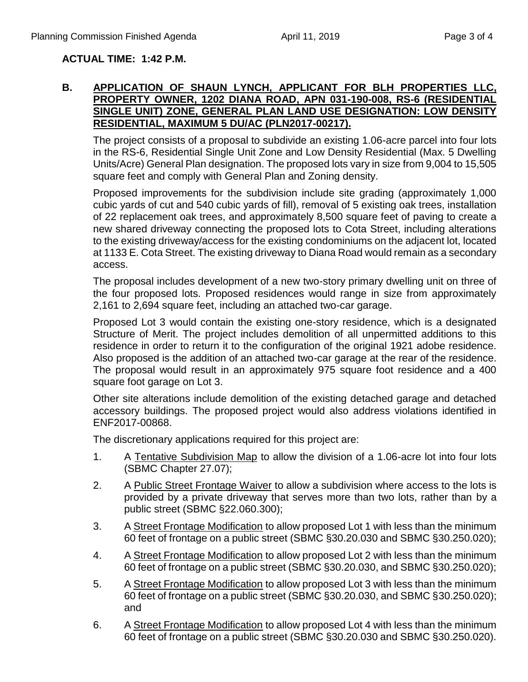# **ACTUAL TIME: 1:42 P.M.**

## **B. APPLICATION OF SHAUN LYNCH, APPLICANT FOR BLH PROPERTIES LLC, PROPERTY OWNER, 1202 DIANA ROAD, APN 031-190-008, RS-6 (RESIDENTIAL SINGLE UNIT) ZONE, GENERAL PLAN LAND USE DESIGNATION: LOW DENSITY RESIDENTIAL, MAXIMUM 5 DU/AC (PLN2017-00217).**

The project consists of a proposal to subdivide an existing 1.06-acre parcel into four lots in the RS-6, Residential Single Unit Zone and Low Density Residential (Max. 5 Dwelling Units/Acre) General Plan designation. The proposed lots vary in size from 9,004 to 15,505 square feet and comply with General Plan and Zoning density.

Proposed improvements for the subdivision include site grading (approximately 1,000 cubic yards of cut and 540 cubic yards of fill), removal of 5 existing oak trees, installation of 22 replacement oak trees, and approximately 8,500 square feet of paving to create a new shared driveway connecting the proposed lots to Cota Street, including alterations to the existing driveway/access for the existing condominiums on the adjacent lot, located at 1133 E. Cota Street. The existing driveway to Diana Road would remain as a secondary access.

The proposal includes development of a new two-story primary dwelling unit on three of the four proposed lots. Proposed residences would range in size from approximately 2,161 to 2,694 square feet, including an attached two-car garage.

Proposed Lot 3 would contain the existing one-story residence, which is a designated Structure of Merit. The project includes demolition of all unpermitted additions to this residence in order to return it to the configuration of the original 1921 adobe residence. Also proposed is the addition of an attached two-car garage at the rear of the residence. The proposal would result in an approximately 975 square foot residence and a 400 square foot garage on Lot 3.

Other site alterations include demolition of the existing detached garage and detached accessory buildings. The proposed project would also address violations identified in ENF2017-00868.

The discretionary applications required for this project are:

- 1. A Tentative Subdivision Map to allow the division of a 1.06-acre lot into four lots (SBMC Chapter 27.07);
- 2. A Public Street Frontage Waiver to allow a subdivision where access to the lots is provided by a private driveway that serves more than two lots, rather than by a public street (SBMC §22.060.300);
- 3. A Street Frontage Modification to allow proposed Lot 1 with less than the minimum 60 feet of frontage on a public street (SBMC §30.20.030 and SBMC §30.250.020);
- 4. A Street Frontage Modification to allow proposed Lot 2 with less than the minimum 60 feet of frontage on a public street (SBMC §30.20.030, and SBMC §30.250.020);
- 5. A Street Frontage Modification to allow proposed Lot 3 with less than the minimum 60 feet of frontage on a public street (SBMC §30.20.030, and SBMC §30.250.020); and
- 6. A Street Frontage Modification to allow proposed Lot 4 with less than the minimum 60 feet of frontage on a public street (SBMC §30.20.030 and SBMC §30.250.020).